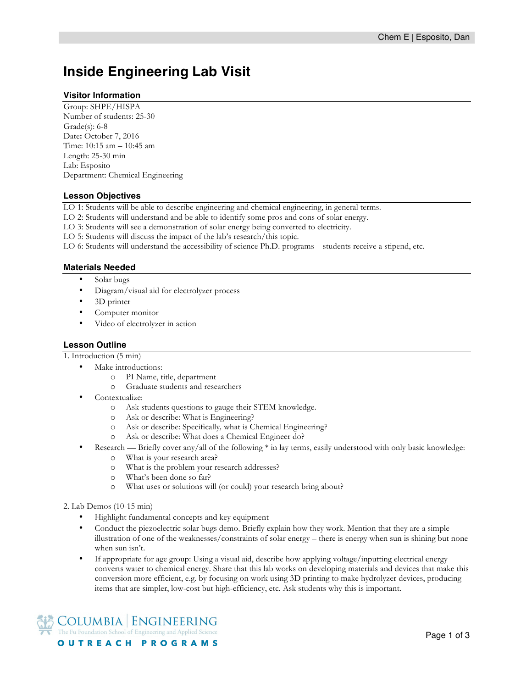# **Inside Engineering Lab Visit**

### **Visitor Information**

Group: SHPE/HISPA Number of students: 25-30 Grade(s): 6-8 Date**:** October 7, 2016 Time: 10:15 am – 10:45 am Length: 25-30 min Lab: Esposito Department: Chemical Engineering

### **Lesson Objectives**

LO 1: Students will be able to describe engineering and chemical engineering, in general terms.

LO 2: Students will understand and be able to identify some pros and cons of solar energy.

LO 3: Students will see a demonstration of solar energy being converted to electricity.

LO 5: Students will discuss the impact of the lab's research/this topic.

LO 6: Students will understand the accessibility of science Ph.D. programs – students receive a stipend, etc.

## **Materials Needed**

- Solar bugs
- Diagram/visual aid for electrolyzer process
- 3D printer
- Computer monitor
- Video of electrolyzer in action

## **Lesson Outline**

1. Introduction (5 min)

- Make introductions:
	- o PI Name, title, department
	- o Graduate students and researchers
	- Contextualize:
		- o Ask students questions to gauge their STEM knowledge.
		- o Ask or describe: What is Engineering?
		- o Ask or describe: Specifically*,* what is Chemical Engineering?
		- o Ask or describe: What does a Chemical Engineer do?
	- Research Briefly cover any/all of the following \* in lay terms, easily understood with only basic knowledge:
		- o What is your research area?
		- o What is the problem your research addresses?
		- o What's been done so far?
		- o What uses or solutions will (or could) your research bring about?
- 2. Lab Demos (10-15 min)
	- Highlight fundamental concepts and key equipment
	- Conduct the piezoelectric solar bugs demo. Briefly explain how they work. Mention that they are a simple illustration of one of the weaknesses/constraints of solar energy – there is energy when sun is shining but none when sun isn't.
	- If appropriate for age group: Using a visual aid, describe how applying voltage/inputting electrical energy converts water to chemical energy. Share that this lab works on developing materials and devices that make this conversion more efficient, e.g. by focusing on work using 3D printing to make hydrolyzer devices, producing items that are simpler, low-cost but high-efficiency, etc. Ask students why this is important.

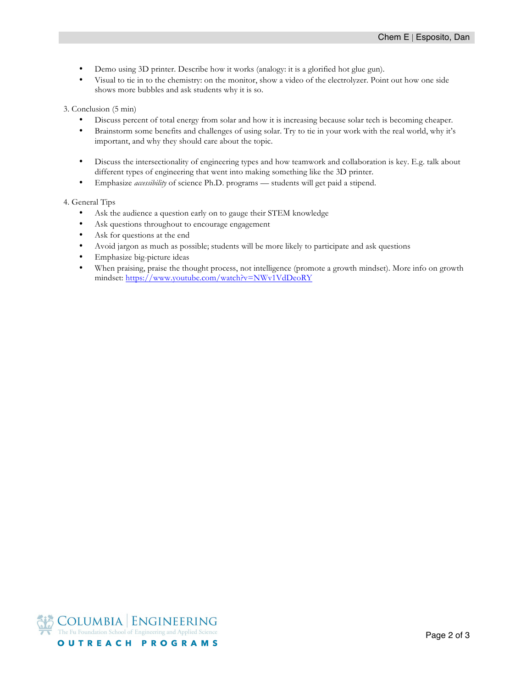- Demo using 3D printer. Describe how it works (analogy: it is a glorified hot glue gun).
- Visual to tie in to the chemistry: on the monitor, show a video of the electrolyzer. Point out how one side shows more bubbles and ask students why it is so.

3. Conclusion (5 min)

- Discuss percent of total energy from solar and how it is increasing because solar tech is becoming cheaper.
- Brainstorm some benefits and challenges of using solar. Try to tie in your work with the real world, why it's important, and why they should care about the topic.
- Discuss the intersectionality of engineering types and how teamwork and collaboration is key. E.g. talk about different types of engineering that went into making something like the 3D printer.
- Emphasize *accessibility* of science Ph.D. programs students will get paid a stipend.

4. General Tips

- Ask the audience a question early on to gauge their STEM knowledge
- Ask questions throughout to encourage engagement
- Ask for questions at the end
- Avoid jargon as much as possible; students will be more likely to participate and ask questions
- Emphasize big-picture ideas
- When praising, praise the thought process, not intelligence (promote a growth mindset). More info on growth mindset: https://www.youtube.com/watch?v=NWv1VdDeoRY